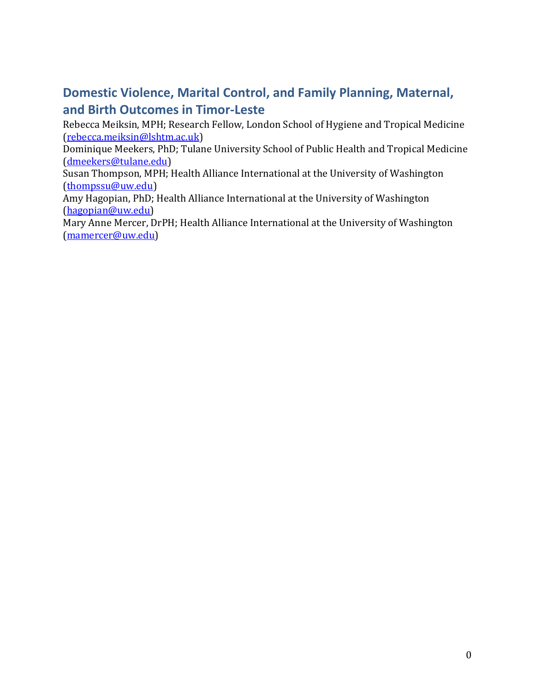# **Domestic Violence, Marital Control, and Family Planning, Maternal, and Birth Outcomes in Timor-Leste**

Rebecca Meiksin, MPH; Research Fellow, London School of Hygiene and Tropical Medicine [\(rebecca.meiksin@lshtm.ac.uk\)](mailto:Rebecca.meiksin@lshtm.ac.uk)

Dominique Meekers, PhD; Tulane University School of Public Health and Tropical Medicine [\(dmeekers@tulane.edu\)](mailto:dmeekers@tulane.edu)

Susan Thompson, MPH; Health Alliance International at the University of Washington [\(thompssu@uw.edu\)](mailto:thompssu@uw.edu)

Amy Hagopian, PhD; Health Alliance International at the University of Washington [\(hagopian@uw.edu\)](mailto:hagopian@uw.edu)

Mary Anne Mercer, DrPH; Health Alliance International at the University of Washington [\(mamercer@uw.edu\)](mailto:mamercer@uw.edu)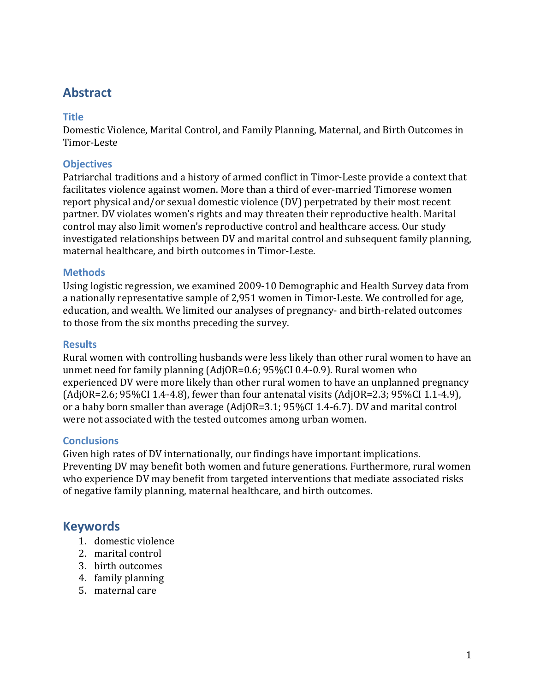# **Abstract**

## **Title**

Domestic Violence, Marital Control, and Family Planning, Maternal, and Birth Outcomes in Timor-Leste

## **Objectives**

Patriarchal traditions and a history of armed conflict in Timor-Leste provide a context that facilitates violence against women. More than a third of ever-married Timorese women report physical and/or sexual domestic violence (DV) perpetrated by their most recent partner. DV violates women's rights and may threaten their reproductive health. Marital control may also limit women's reproductive control and healthcare access. Our study investigated relationships between DV and marital control and subsequent family planning, maternal healthcare, and birth outcomes in Timor-Leste.

## **Methods**

Using logistic regression, we examined 2009-10 Demographic and Health Survey data from a nationally representative sample of 2,951 women in Timor-Leste. We controlled for age, education, and wealth. We limited our analyses of pregnancy- and birth-related outcomes to those from the six months preceding the survey.

## **Results**

Rural women with controlling husbands were less likely than other rural women to have an unmet need for family planning (AdjOR=0.6; 95%CI 0.4-0.9). Rural women who experienced DV were more likely than other rural women to have an unplanned pregnancy (AdjOR=2.6; 95%CI 1.4-4.8), fewer than four antenatal visits (AdjOR=2.3; 95%CI 1.1-4.9), or a baby born smaller than average (AdjOR=3.1; 95%CI 1.4-6.7). DV and marital control were not associated with the tested outcomes among urban women.

## **Conclusions**

Given high rates of DV internationally, our findings have important implications. Preventing DV may benefit both women and future generations. Furthermore, rural women who experience DV may benefit from targeted interventions that mediate associated risks of negative family planning, maternal healthcare, and birth outcomes.

## **Keywords**

- 1. domestic violence
- 2. marital control
- 3. birth outcomes
- 4. family planning
- 5. maternal care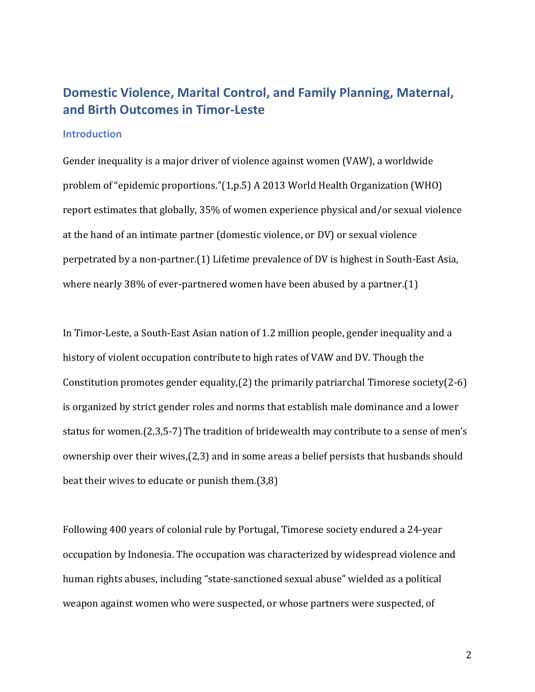# **Domestic Violence, Marital Control, and Family Planning, Maternal, and Birth Outcomes in Timor-Leste**

#### **Introduction**

Gender inequality is a major driver of violence against women (VAW), a worldwide problem of "epidemic proportions."(1,p.5) A 2013 World Health Organization (WHO) report estimates that globally, 35% of women experience physical and/or sexual violence at the hand of an intimate partner (domestic violence, or DV) or sexual violence perpetrated by a non-partner.(1) Lifetime prevalence of DV is highest in South-East Asia, where nearly 38% of ever-partnered women have been abused by a partner.(1)

In Timor-Leste, a South-East Asian nation of 1.2 million people, gender inequality and a history of violent occupation contribute to high rates of VAW and DV. Though the Constitution promotes gender equality,(2) the primarily patriarchal Timorese society(2-6) is organized by strict gender roles and norms that establish male dominance and a lower status for women.(2,3,5-7) The tradition of bridewealth may contribute to a sense of men's ownership over their wives,(2,3) and in some areas a belief persists that husbands should beat their wives to educate or punish them.(3,8)

Following 400 years of colonial rule by Portugal, Timorese society endured a 24-year occupation by Indonesia. The occupation was characterized by widespread violence and human rights abuses, including "state-sanctioned sexual abuse" wielded as a political weapon against women who were suspected, or whose partners were suspected, of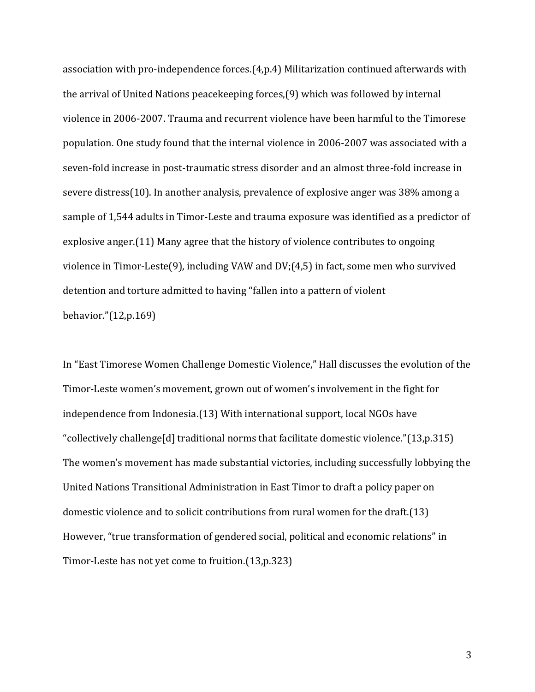association with pro-independence forces.(4,p.4) Militarization continued afterwards with the arrival of United Nations peacekeeping forces,(9) which was followed by internal violence in 2006-2007. Trauma and recurrent violence have been harmful to the Timorese population. One study found that the internal violence in 2006-2007 was associated with a seven-fold increase in post-traumatic stress disorder and an almost three-fold increase in severe distress(10). In another analysis, prevalence of explosive anger was 38% among a sample of 1,544 adults in Timor-Leste and trauma exposure was identified as a predictor of explosive anger.(11) Many agree that the history of violence contributes to ongoing violence in Timor-Leste(9), including VAW and DV;(4,5) in fact, some men who survived detention and torture admitted to having "fallen into a pattern of violent behavior."(12,p.169)

In "East Timorese Women Challenge Domestic Violence," Hall discusses the evolution of the Timor-Leste women's movement, grown out of women's involvement in the fight for independence from Indonesia.(13) With international support, local NGOs have "collectively challenge[d] traditional norms that facilitate domestic violence."(13,p.315) The women's movement has made substantial victories, including successfully lobbying the United Nations Transitional Administration in East Timor to draft a policy paper on domestic violence and to solicit contributions from rural women for the draft.(13) However, "true transformation of gendered social, political and economic relations" in Timor-Leste has not yet come to fruition.(13,p.323)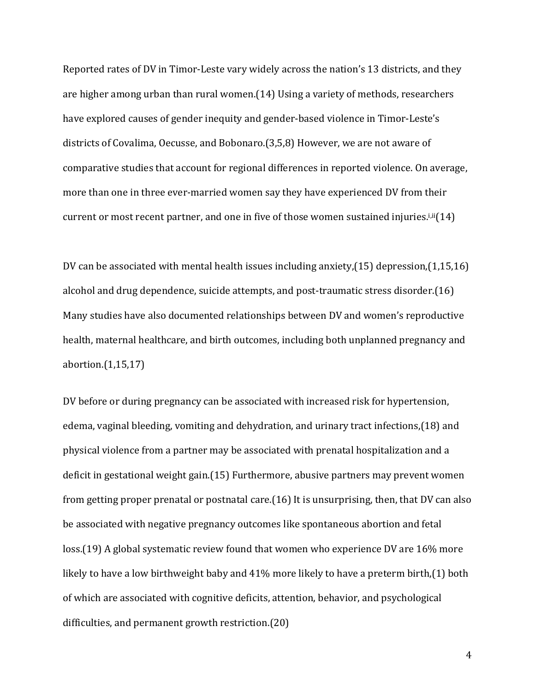Reported rates of DV in Timor-Leste vary widely across the nation's 13 districts, and they are higher among urban than rural women.(14) Using a variety of methods, researchers have explored causes of gender inequity and gender-based violence in Timor-Leste's districts of Covalima, Oecusse, and Bobonaro.(3,5,8) However, we are not aware of comparative studies that account for regional differences in reported violence. On average, more than one in three ever-married women say they have experienced DV from their current or most recent partner, and one in five of those women sustained injuries.<sup>i,ii</sup>(14)

DV can be associated with mental health issues including anxiety,(15) depression,(1,15,16) alcohol and drug dependence, suicide attempts, and post-traumatic stress disorder.(16) Many studies have also documented relationships between DV and women's reproductive health, maternal healthcare, and birth outcomes, including both unplanned pregnancy and abortion.(1,15,17)

DV before or during pregnancy can be associated with increased risk for hypertension, edema, vaginal bleeding, vomiting and dehydration, and urinary tract infections,(18) and physical violence from a partner may be associated with prenatal hospitalization and a deficit in gestational weight gain.(15) Furthermore, abusive partners may prevent women from getting proper prenatal or postnatal care.(16) It is unsurprising, then, that DV can also be associated with negative pregnancy outcomes like spontaneous abortion and fetal loss.(19) A global systematic review found that women who experience DV are 16% more likely to have a low birthweight baby and 41% more likely to have a preterm birth,(1) both of which are associated with cognitive deficits, attention, behavior, and psychological difficulties, and permanent growth restriction.(20)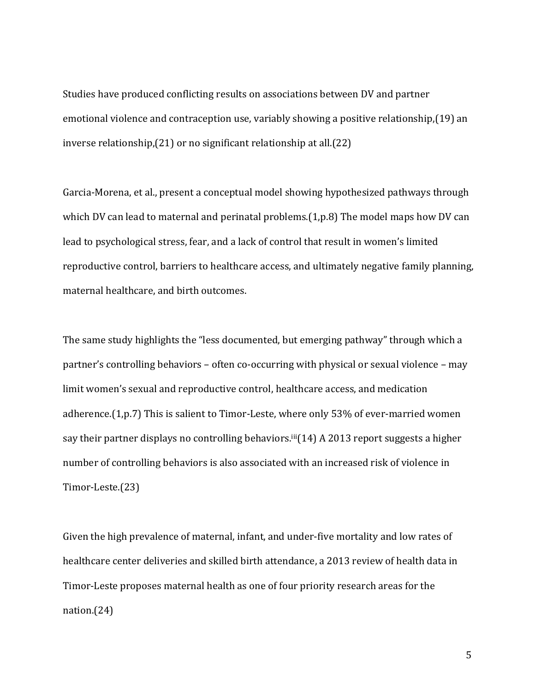Studies have produced conflicting results on associations between DV and partner emotional violence and contraception use, variably showing a positive relationship,(19) an inverse relationship,(21) or no significant relationship at all.(22)

Garcia-Morena, et al., present a conceptual model showing hypothesized pathways through which DV can lead to maternal and perinatal problems. (1, p.8) The model maps how DV can lead to psychological stress, fear, and a lack of control that result in women's limited reproductive control, barriers to healthcare access, and ultimately negative family planning, maternal healthcare, and birth outcomes.

The same study highlights the "less documented, but emerging pathway" through which a partner's controlling behaviors – often co-occurring with physical or sexual violence – may limit women's sexual and reproductive control, healthcare access, and medication adherence.(1,p.7) This is salient to Timor-Leste, where only 53% of ever-married women say their partner displays no controlling behaviors.<sup>iii</sup>(14) A 2013 report suggests a higher number of controlling behaviors is also associated with an increased risk of violence in Timor-Leste.(23)

Given the high prevalence of maternal, infant, and under-five mortality and low rates of healthcare center deliveries and skilled birth attendance, a 2013 review of health data in Timor-Leste proposes maternal health as one of four priority research areas for the nation.(24)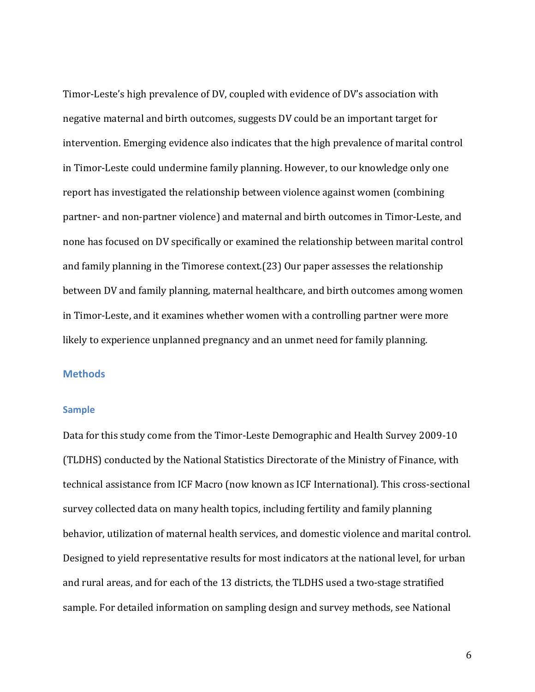Timor-Leste's high prevalence of DV, coupled with evidence of DV's association with negative maternal and birth outcomes, suggests DV could be an important target for intervention. Emerging evidence also indicates that the high prevalence of marital control in Timor-Leste could undermine family planning. However, to our knowledge only one report has investigated the relationship between violence against women (combining partner- and non-partner violence) and maternal and birth outcomes in Timor-Leste, and none has focused on DV specifically or examined the relationship between marital control and family planning in the Timorese context.(23) Our paper assesses the relationship between DV and family planning, maternal healthcare, and birth outcomes among women in Timor-Leste, and it examines whether women with a controlling partner were more likely to experience unplanned pregnancy and an unmet need for family planning.

### **Methods**

### **Sample**

Data for this study come from the Timor-Leste Demographic and Health Survey 2009-10 (TLDHS) conducted by the National Statistics Directorate of the Ministry of Finance, with technical assistance from ICF Macro (now known as ICF International). This cross-sectional survey collected data on many health topics, including fertility and family planning behavior, utilization of maternal health services, and domestic violence and marital control. Designed to yield representative results for most indicators at the national level, for urban and rural areas, and for each of the 13 districts, the TLDHS used a two-stage stratified sample. For detailed information on sampling design and survey methods, see National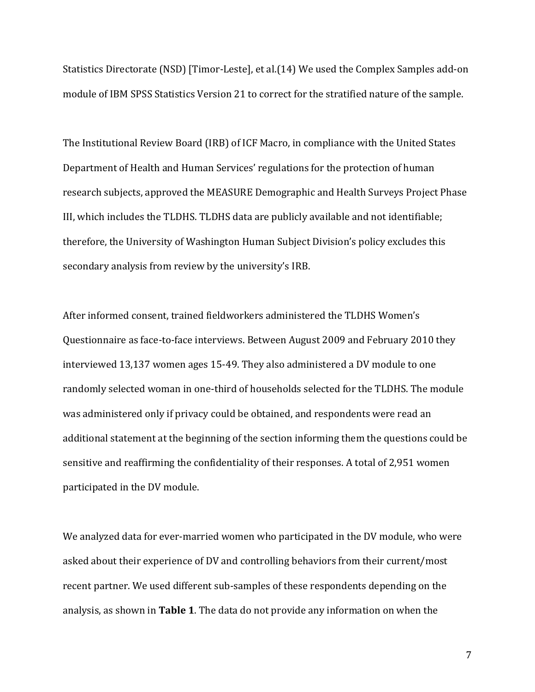Statistics Directorate (NSD) [Timor-Leste], et al.(14) We used the Complex Samples add-on module of IBM SPSS Statistics Version 21 to correct for the stratified nature of the sample.

The Institutional Review Board (IRB) of ICF Macro, in compliance with the United States Department of Health and Human Services' regulations for the protection of human research subjects, approved the MEASURE Demographic and Health Surveys Project Phase III, which includes the TLDHS. TLDHS data are publicly available and not identifiable; therefore, the University of Washington Human Subject Division's policy excludes this secondary analysis from review by the university's IRB.

After informed consent, trained fieldworkers administered the TLDHS Women's Questionnaire as face-to-face interviews. Between August 2009 and February 2010 they interviewed 13,137 women ages 15-49. They also administered a DV module to one randomly selected woman in one-third of households selected for the TLDHS. The module was administered only if privacy could be obtained, and respondents were read an additional statement at the beginning of the section informing them the questions could be sensitive and reaffirming the confidentiality of their responses. A total of 2,951 women participated in the DV module.

We analyzed data for ever-married women who participated in the DV module, who were asked about their experience of DV and controlling behaviors from their current/most recent partner. We used different sub-samples of these respondents depending on the analysis, as shown in **Table 1**. The data do not provide any information on when the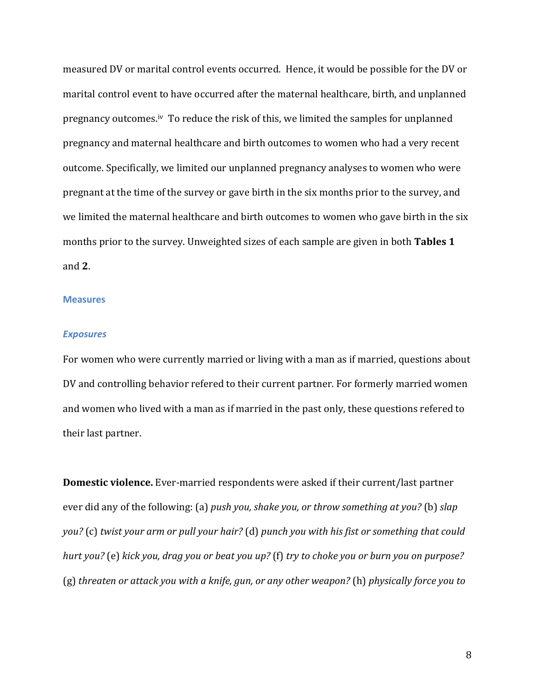measured DV or marital control events occurred. Hence, it would be possible for the DV or marital control event to have occurred after the maternal healthcare, birth, and unplanned pregnancy outcomes.iv To reduce the risk of this, we limited the samples for unplanned pregnancy and maternal healthcare and birth outcomes to women who had a very recent outcome. Specifically, we limited our unplanned pregnancy analyses to women who were pregnant at the time of the survey or gave birth in the six months prior to the survey, and we limited the maternal healthcare and birth outcomes to women who gave birth in the six months prior to the survey. Unweighted sizes of each sample are given in both **Tables 1** and **2**.

#### **Measures**

#### *Exposures*

For women who were currently married or living with a man as if married, questions about DV and controlling behavior refered to their current partner. For formerly married women and women who lived with a man as if married in the past only, these questions refered to their last partner.

**Domestic violence.** Ever-married respondents were asked if their current/last partner ever did any of the following: (a) *push you, shake you, or throw something at you?* (b) *slap you?* (c) *twist your arm or pull your hair?* (d) *punch you with his fist or something that could hurt you?* (e) *kick you, drag you or beat you up?* (f) *try to choke you or burn you on purpose?*  (g) *threaten or attack you with a knife, gun, or any other weapon?* (h) *physically force you to*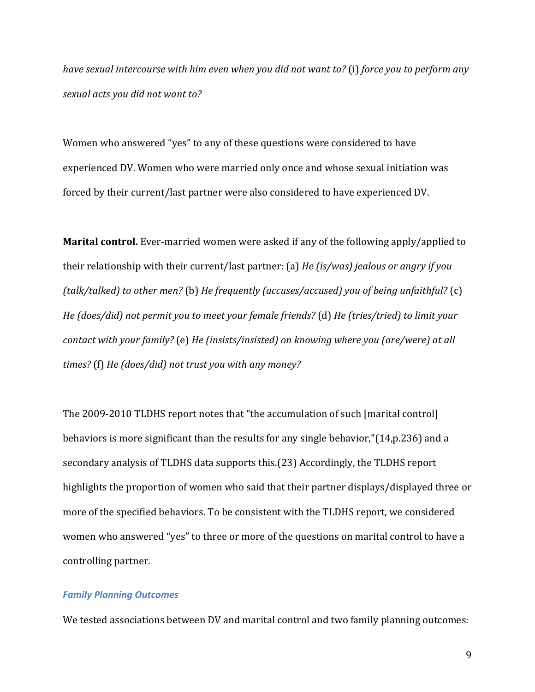*have sexual intercourse with him even when you did not want to?* (i) *force you to perform any sexual acts you did not want to?*

Women who answered "yes" to any of these questions were considered to have experienced DV. Women who were married only once and whose sexual initiation was forced by their current/last partner were also considered to have experienced DV.

**Marital control.** Ever-married women were asked if any of the following apply/applied to their relationship with their current/last partner: (a) *He (is/was) jealous or angry if you (talk/talked) to other men?* (b) *He frequently (accuses/accused) you of being unfaithful?* (c) *He (does/did) not permit you to meet your female friends?* (d) *He (tries/tried) to limit your contact with your family?* (e) *He (insists/insisted) on knowing where you (are/were) at all times?* (f) *He (does/did) not trust you with any money?*

The 2009-2010 TLDHS report notes that "the accumulation of such [marital control] behaviors is more significant than the results for any single behavior,"(14,p.236) and a secondary analysis of TLDHS data supports this.(23) Accordingly, the TLDHS report highlights the proportion of women who said that their partner displays/displayed three or more of the specified behaviors. To be consistent with the TLDHS report, we considered women who answered "yes" to three or more of the questions on marital control to have a controlling partner.

#### *Family Planning Outcomes*

We tested associations between DV and marital control and two family planning outcomes: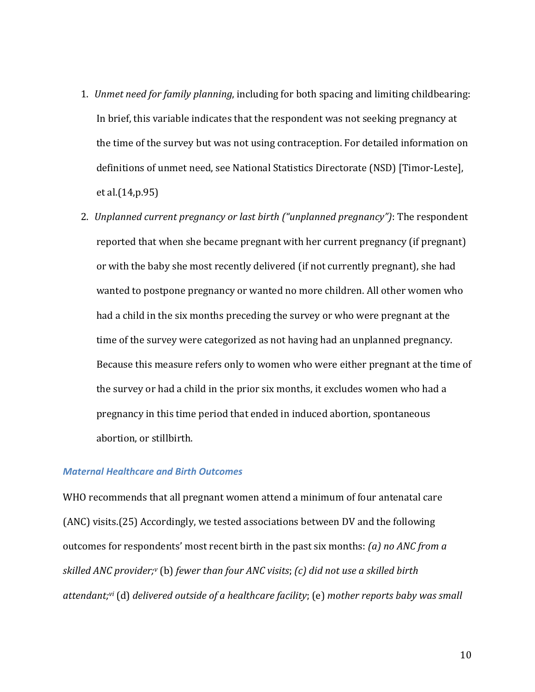- 1. *Unmet need for family planning*, including for both spacing and limiting childbearing: In brief, this variable indicates that the respondent was not seeking pregnancy at the time of the survey but was not using contraception. For detailed information on definitions of unmet need, see National Statistics Directorate (NSD) [Timor-Leste], et al.(14,p.95)
- 2. *Unplanned current pregnancy or last birth ("unplanned pregnancy")*: The respondent reported that when she became pregnant with her current pregnancy (if pregnant) or with the baby she most recently delivered (if not currently pregnant), she had wanted to postpone pregnancy or wanted no more children. All other women who had a child in the six months preceding the survey or who were pregnant at the time of the survey were categorized as not having had an unplanned pregnancy. Because this measure refers only to women who were either pregnant at the time of the survey or had a child in the prior six months, it excludes women who had a pregnancy in this time period that ended in induced abortion, spontaneous abortion, or stillbirth.

## *Maternal Healthcare and Birth Outcomes*

WHO recommends that all pregnant women attend a minimum of four antenatal care (ANC) visits.(25) Accordingly, we tested associations between DV and the following outcomes for respondents' most recent birth in the past six months: *(a) no ANC from a skilled ANC provider;<sup>v</sup>* (b) *fewer than four ANC visits*; *(c) did not use a skilled birth attendant;vi* (d) *delivered outside of a healthcare facility*; (e) *mother reports baby was small*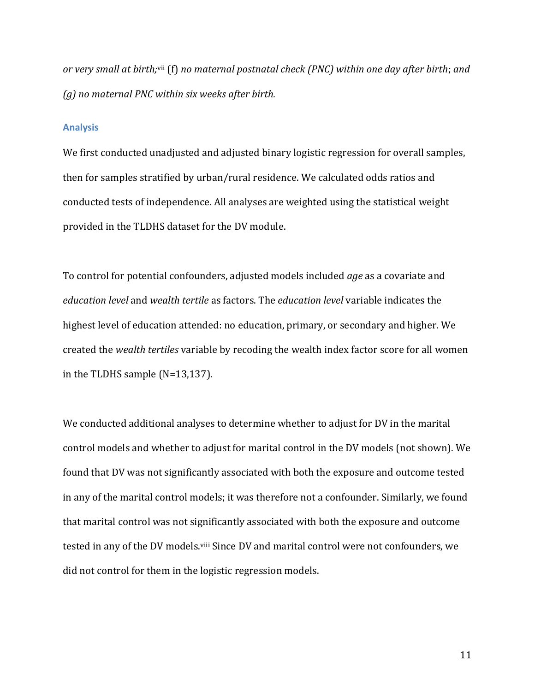or very small at birth;<sup>vii</sup> (f) no maternal postnatal check (PNC) within one day after birth; and *(g) no maternal PNC within six weeks after birth.*

#### **Analysis**

We first conducted unadjusted and adjusted binary logistic regression for overall samples, then for samples stratified by urban/rural residence. We calculated odds ratios and conducted tests of independence. All analyses are weighted using the statistical weight provided in the TLDHS dataset for the DV module.

To control for potential confounders, adjusted models included *age* as a covariate and *education level* and *wealth tertile* as factors. The *education level* variable indicates the highest level of education attended: no education, primary, or secondary and higher. We created the *wealth tertiles* variable by recoding the wealth index factor score for all women in the TLDHS sample (N=13,137).

We conducted additional analyses to determine whether to adjust for DV in the marital control models and whether to adjust for marital control in the DV models (not shown). We found that DV was not significantly associated with both the exposure and outcome tested in any of the marital control models; it was therefore not a confounder. Similarly, we found that marital control was not significantly associated with both the exposure and outcome tested in any of the DV models.<sup>viii</sup> Since DV and marital control were not confounders, we did not control for them in the logistic regression models.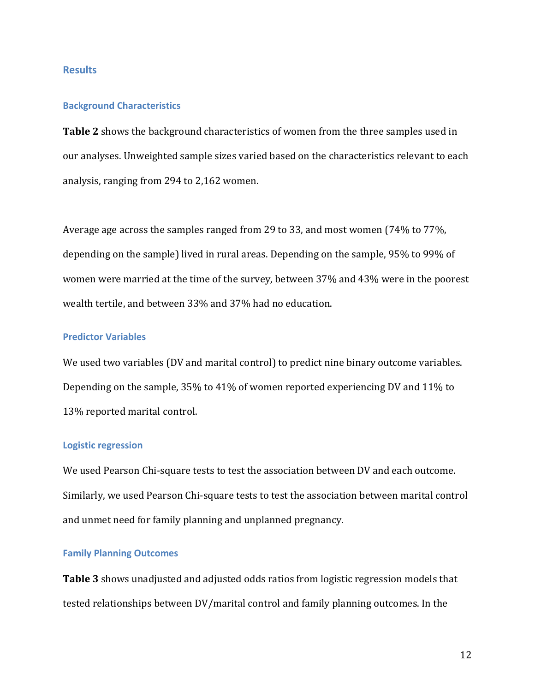## **Results**

#### **Background Characteristics**

**Table 2** shows the background characteristics of women from the three samples used in our analyses. Unweighted sample sizes varied based on the characteristics relevant to each analysis, ranging from 294 to 2,162 women.

Average age across the samples ranged from 29 to 33, and most women (74% to 77%, depending on the sample) lived in rural areas. Depending on the sample, 95% to 99% of women were married at the time of the survey, between 37% and 43% were in the poorest wealth tertile, and between 33% and 37% had no education.

### **Predictor Variables**

We used two variables (DV and marital control) to predict nine binary outcome variables. Depending on the sample, 35% to 41% of women reported experiencing DV and 11% to 13% reported marital control.

#### **Logistic regression**

We used Pearson Chi-square tests to test the association between DV and each outcome. Similarly, we used Pearson Chi-square tests to test the association between marital control and unmet need for family planning and unplanned pregnancy.

## **Family Planning Outcomes**

**Table 3** shows unadjusted and adjusted odds ratios from logistic regression models that tested relationships between DV/marital control and family planning outcomes. In the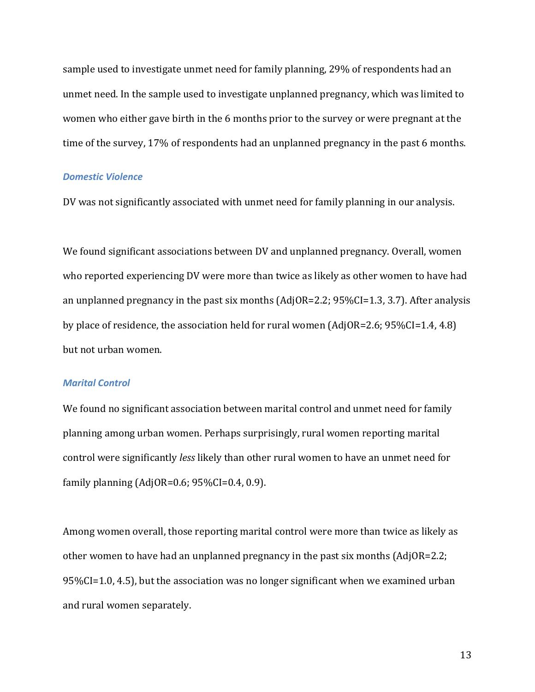sample used to investigate unmet need for family planning, 29% of respondents had an unmet need. In the sample used to investigate unplanned pregnancy, which was limited to women who either gave birth in the 6 months prior to the survey or were pregnant at the time of the survey, 17% of respondents had an unplanned pregnancy in the past 6 months.

#### *Domestic Violence*

DV was not significantly associated with unmet need for family planning in our analysis.

We found significant associations between DV and unplanned pregnancy. Overall, women who reported experiencing DV were more than twice as likely as other women to have had an unplanned pregnancy in the past six months (AdjOR=2.2; 95%CI=1.3, 3.7). After analysis by place of residence, the association held for rural women (AdjOR=2.6; 95%CI=1.4, 4.8) but not urban women.

#### *Marital Control*

We found no significant association between marital control and unmet need for family planning among urban women. Perhaps surprisingly, rural women reporting marital control were significantly *less* likely than other rural women to have an unmet need for family planning (AdjOR=0.6; 95%CI=0.4, 0.9).

Among women overall, those reporting marital control were more than twice as likely as other women to have had an unplanned pregnancy in the past six months (AdjOR=2.2; 95%CI=1.0, 4.5), but the association was no longer significant when we examined urban and rural women separately.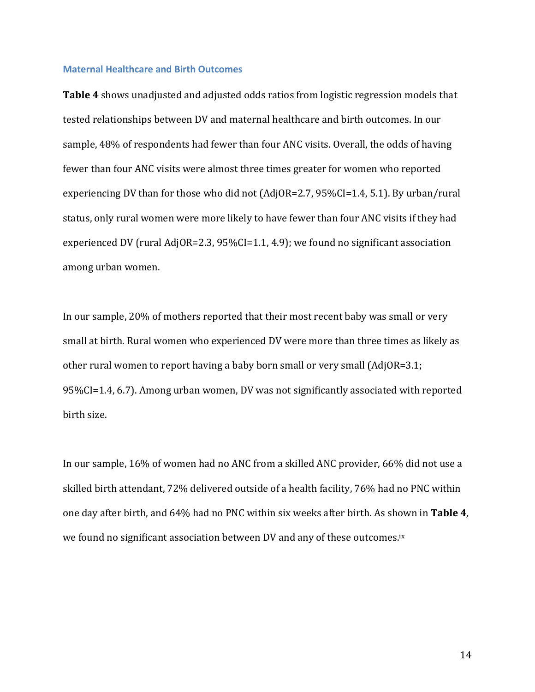#### **Maternal Healthcare and Birth Outcomes**

**Table 4** shows unadjusted and adjusted odds ratios from logistic regression models that tested relationships between DV and maternal healthcare and birth outcomes. In our sample, 48% of respondents had fewer than four ANC visits. Overall, the odds of having fewer than four ANC visits were almost three times greater for women who reported experiencing DV than for those who did not (AdjOR=2.7, 95%CI=1.4, 5.1). By urban/rural status, only rural women were more likely to have fewer than four ANC visits if they had experienced DV (rural AdjOR=2.3, 95%CI=1.1, 4.9); we found no significant association among urban women.

In our sample, 20% of mothers reported that their most recent baby was small or very small at birth. Rural women who experienced DV were more than three times as likely as other rural women to report having a baby born small or very small (AdjOR=3.1; 95%CI=1.4, 6.7). Among urban women, DV was not significantly associated with reported birth size.

In our sample, 16% of women had no ANC from a skilled ANC provider, 66% did not use a skilled birth attendant, 72% delivered outside of a health facility, 76% had no PNC within one day after birth, and 64% had no PNC within six weeks after birth. As shown in **Table 4**, we found no significant association between DV and any of these outcomes.<sup>ix</sup>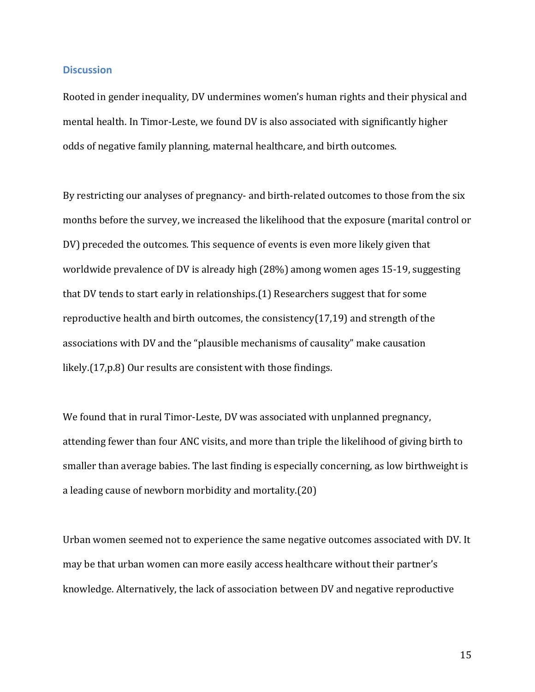### **Discussion**

Rooted in gender inequality, DV undermines women's human rights and their physical and mental health. In Timor-Leste, we found DV is also associated with significantly higher odds of negative family planning, maternal healthcare, and birth outcomes.

By restricting our analyses of pregnancy- and birth-related outcomes to those from the six months before the survey, we increased the likelihood that the exposure (marital control or DV) preceded the outcomes. This sequence of events is even more likely given that worldwide prevalence of DV is already high (28%) among women ages 15-19, suggesting that DV tends to start early in relationships.(1) Researchers suggest that for some reproductive health and birth outcomes, the consistency(17,19) and strength of the associations with DV and the "plausible mechanisms of causality" make causation likely.(17,p.8) Our results are consistent with those findings.

We found that in rural Timor-Leste, DV was associated with unplanned pregnancy, attending fewer than four ANC visits, and more than triple the likelihood of giving birth to smaller than average babies. The last finding is especially concerning, as low birthweight is a leading cause of newborn morbidity and mortality.(20)

Urban women seemed not to experience the same negative outcomes associated with DV. It may be that urban women can more easily access healthcare without their partner's knowledge. Alternatively, the lack of association between DV and negative reproductive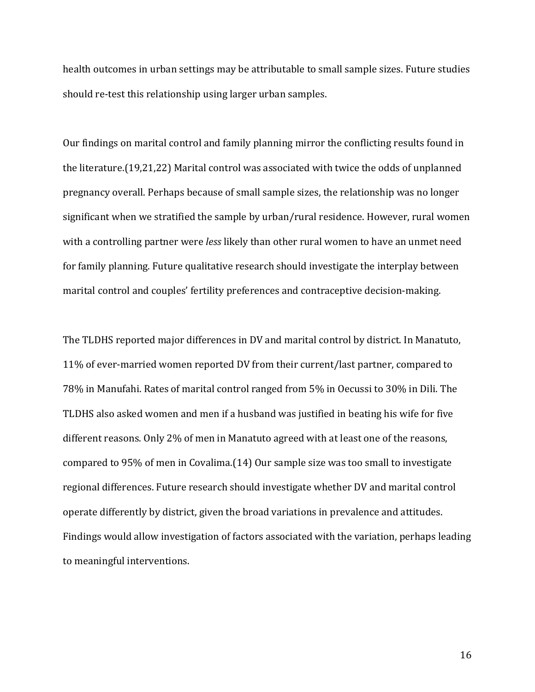health outcomes in urban settings may be attributable to small sample sizes. Future studies should re-test this relationship using larger urban samples.

Our findings on marital control and family planning mirror the conflicting results found in the literature.(19,21,22) Marital control was associated with twice the odds of unplanned pregnancy overall. Perhaps because of small sample sizes, the relationship was no longer significant when we stratified the sample by urban/rural residence. However, rural women with a controlling partner were *less* likely than other rural women to have an unmet need for family planning. Future qualitative research should investigate the interplay between marital control and couples' fertility preferences and contraceptive decision-making.

The TLDHS reported major differences in DV and marital control by district. In Manatuto, 11% of ever-married women reported DV from their current/last partner, compared to 78% in Manufahi. Rates of marital control ranged from 5% in Oecussi to 30% in Dili. The TLDHS also asked women and men if a husband was justified in beating his wife for five different reasons. Only 2% of men in Manatuto agreed with at least one of the reasons, compared to 95% of men in Covalima.(14) Our sample size was too small to investigate regional differences. Future research should investigate whether DV and marital control operate differently by district, given the broad variations in prevalence and attitudes. Findings would allow investigation of factors associated with the variation, perhaps leading to meaningful interventions.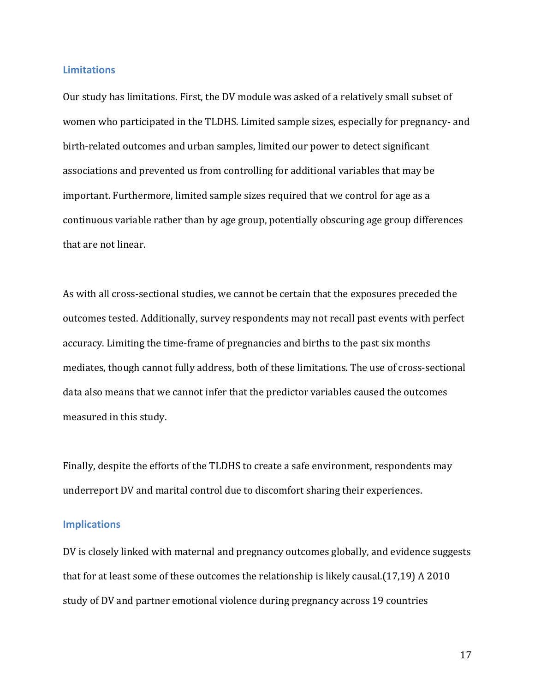#### **Limitations**

Our study has limitations. First, the DV module was asked of a relatively small subset of women who participated in the TLDHS. Limited sample sizes, especially for pregnancy- and birth-related outcomes and urban samples, limited our power to detect significant associations and prevented us from controlling for additional variables that may be important. Furthermore, limited sample sizes required that we control for age as a continuous variable rather than by age group, potentially obscuring age group differences that are not linear.

As with all cross-sectional studies, we cannot be certain that the exposures preceded the outcomes tested. Additionally, survey respondents may not recall past events with perfect accuracy. Limiting the time-frame of pregnancies and births to the past six months mediates, though cannot fully address, both of these limitations. The use of cross-sectional data also means that we cannot infer that the predictor variables caused the outcomes measured in this study.

Finally, despite the efforts of the TLDHS to create a safe environment, respondents may underreport DV and marital control due to discomfort sharing their experiences.

### **Implications**

DV is closely linked with maternal and pregnancy outcomes globally, and evidence suggests that for at least some of these outcomes the relationship is likely causal.(17,19) A 2010 study of DV and partner emotional violence during pregnancy across 19 countries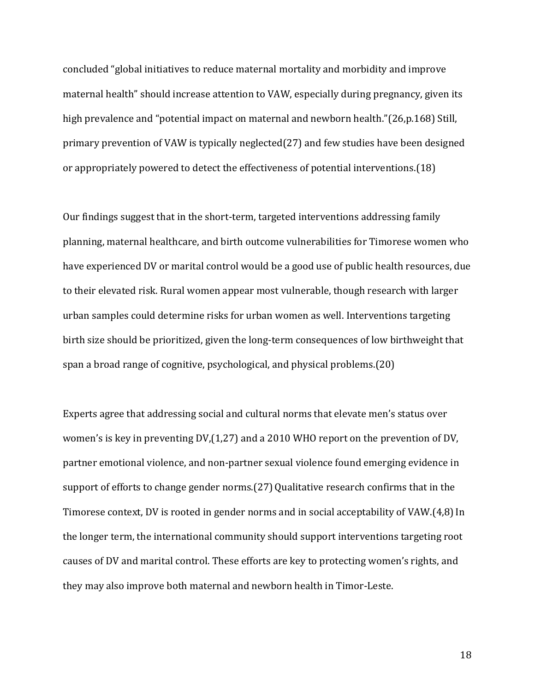concluded "global initiatives to reduce maternal mortality and morbidity and improve maternal health" should increase attention to VAW, especially during pregnancy, given its high prevalence and "potential impact on maternal and newborn health."(26,p.168) Still, primary prevention of VAW is typically neglected(27) and few studies have been designed or appropriately powered to detect the effectiveness of potential interventions.(18)

Our findings suggest that in the short-term, targeted interventions addressing family planning, maternal healthcare, and birth outcome vulnerabilities for Timorese women who have experienced DV or marital control would be a good use of public health resources, due to their elevated risk. Rural women appear most vulnerable, though research with larger urban samples could determine risks for urban women as well. Interventions targeting birth size should be prioritized, given the long-term consequences of low birthweight that span a broad range of cognitive, psychological, and physical problems.(20)

Experts agree that addressing social and cultural norms that elevate men's status over women's is key in preventing DV,(1,27) and a 2010 WHO report on the prevention of DV, partner emotional violence, and non-partner sexual violence found emerging evidence in support of efforts to change gender norms. (27) Qualitative research confirms that in the Timorese context, DV is rooted in gender norms and in social acceptability of VAW.(4,8)In the longer term, the international community should support interventions targeting root causes of DV and marital control. These efforts are key to protecting women's rights, and they may also improve both maternal and newborn health in Timor-Leste.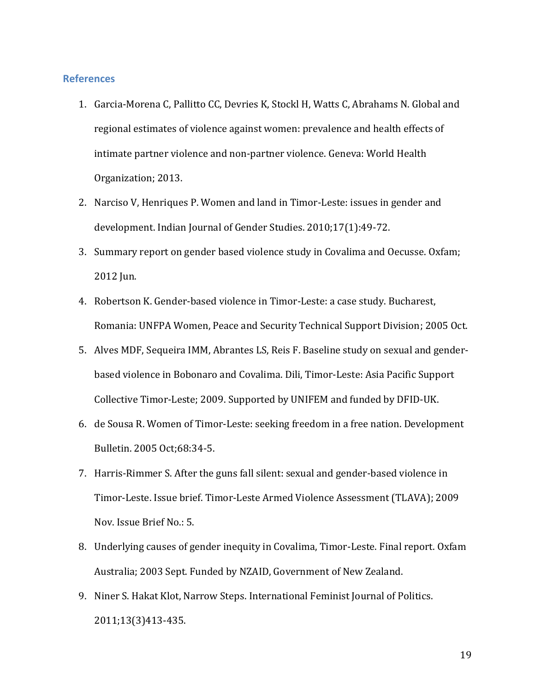### **References**

- 1. Garcia-Morena C, Pallitto CC, Devries K, Stockl H, Watts C, Abrahams N. Global and regional estimates of violence against women: prevalence and health effects of intimate partner violence and non-partner violence. Geneva: World Health Organization; 2013.
- 2. Narciso V, Henriques P. Women and land in Timor-Leste: issues in gender and development. Indian Journal of Gender Studies. 2010;17(1):49-72.
- 3. Summary report on gender based violence study in Covalima and Oecusse. Oxfam; 2012 Jun.
- 4. Robertson K. Gender-based violence in Timor-Leste: a case study. Bucharest, Romania: UNFPA Women, Peace and Security Technical Support Division; 2005 Oct.
- 5. Alves MDF, Sequeira IMM, Abrantes LS, Reis F. Baseline study on sexual and genderbased violence in Bobonaro and Covalima. Dili, Timor-Leste: Asia Pacific Support Collective Timor-Leste; 2009. Supported by UNIFEM and funded by DFID-UK.
- 6. de Sousa R. Women of Timor-Leste: seeking freedom in a free nation. Development Bulletin. 2005 Oct;68:34-5.
- 7. Harris-Rimmer S. After the guns fall silent: sexual and gender-based violence in Timor-Leste. Issue brief. Timor-Leste Armed Violence Assessment (TLAVA); 2009 Nov. Issue Brief No.: 5.
- 8. Underlying causes of gender inequity in Covalima, Timor-Leste. Final report. Oxfam Australia; 2003 Sept. Funded by NZAID, Government of New Zealand.
- 9. Niner S. Hakat Klot, Narrow Steps. International Feminist Journal of Politics. 2011;13(3)413-435.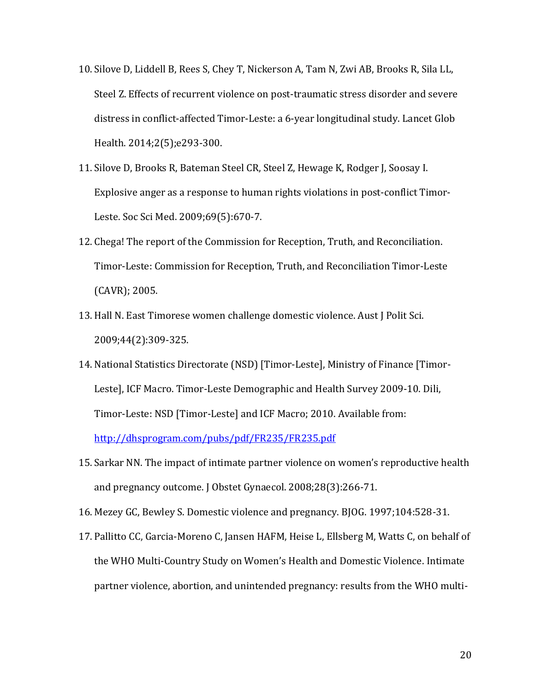- 10. Silove D, Liddell B, Rees S, Chey T, Nickerson A, Tam N, Zwi AB, Brooks R, Sila LL, Steel Z. Effects of recurrent violence on post-traumatic stress disorder and severe distress in conflict-affected Timor-Leste: a 6-year longitudinal study. Lancet Glob Health. 2014;2(5);e293-300.
- 11. Silove D, Brooks R, Bateman Steel CR, Steel Z, Hewage K, Rodger J, Soosay I. Explosive anger as a response to human rights violations in post-conflict Timor-Leste. Soc Sci Med. 2009;69(5):670-7.
- 12. Chega! The report of the Commission for Reception, Truth, and Reconciliation. Timor-Leste: Commission for Reception, Truth, and Reconciliation Timor-Leste (CAVR); 2005.
- 13. Hall N. East Timorese women challenge domestic violence. Aust J Polit Sci. 2009;44(2):309-325.
- 14. National Statistics Directorate (NSD) [Timor-Leste], Ministry of Finance [Timor-Leste], ICF Macro. Timor-Leste Demographic and Health Survey 2009-10. Dili, Timor-Leste: NSD [Timor-Leste] and ICF Macro; 2010. Available from: <http://dhsprogram.com/pubs/pdf/FR235/FR235.pdf>
- 15. Sarkar NN. The impact of intimate partner violence on women's reproductive health and pregnancy outcome. J Obstet Gynaecol. 2008;28(3):266-71.
- 16. Mezey GC, Bewley S. Domestic violence and pregnancy. BJOG. 1997;104:528-31.
- 17. Pallitto CC, Garcia-Moreno C, Jansen HAFM, Heise L, Ellsberg M, Watts C, on behalf of the WHO Multi-Country Study on Women's Health and Domestic Violence. Intimate partner violence, abortion, and unintended pregnancy: results from the WHO multi-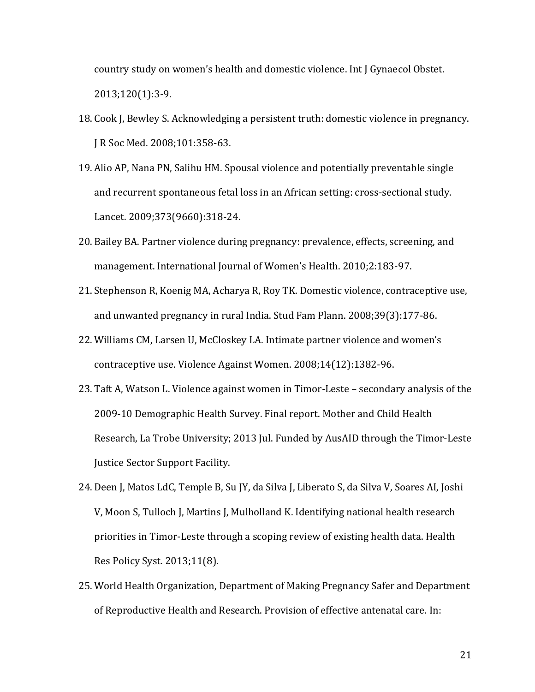country study on women's health and domestic violence. Int J Gynaecol Obstet. 2013;120(1):3-9.

- 18. Cook J, Bewley S. Acknowledging a persistent truth: domestic violence in pregnancy. J R Soc Med. 2008;101:358-63.
- 19. Alio AP, Nana PN, Salihu HM. Spousal violence and potentially preventable single and recurrent spontaneous fetal loss in an African setting: cross-sectional study. Lancet. 2009;373(9660):318-24.
- 20. Bailey BA. Partner violence during pregnancy: prevalence, effects, screening, and management. International Journal of Women's Health. 2010;2:183-97.
- 21. Stephenson R, Koenig MA, Acharya R, Roy TK. Domestic violence, contraceptive use, and unwanted pregnancy in rural India. Stud Fam Plann. 2008;39(3):177-86.
- 22. Williams CM, Larsen U, McCloskey LA. Intimate partner violence and women's contraceptive use. Violence Against Women. 2008;14(12):1382-96.
- 23. Taft A, Watson L. Violence against women in Timor-Leste secondary analysis of the 2009-10 Demographic Health Survey. Final report. Mother and Child Health Research, La Trobe University; 2013 Jul. Funded by AusAID through the Timor-Leste Justice Sector Support Facility.
- 24. Deen J, Matos LdC, Temple B, Su JY, da Silva J, Liberato S, da Silva V, Soares AI, Joshi V, Moon S, Tulloch J, Martins J, Mulholland K. Identifying national health research priorities in Timor-Leste through a scoping review of existing health data. Health Res Policy Syst. 2013;11(8).
- 25. World Health Organization, Department of Making Pregnancy Safer and Department of Reproductive Health and Research. Provision of effective antenatal care. In: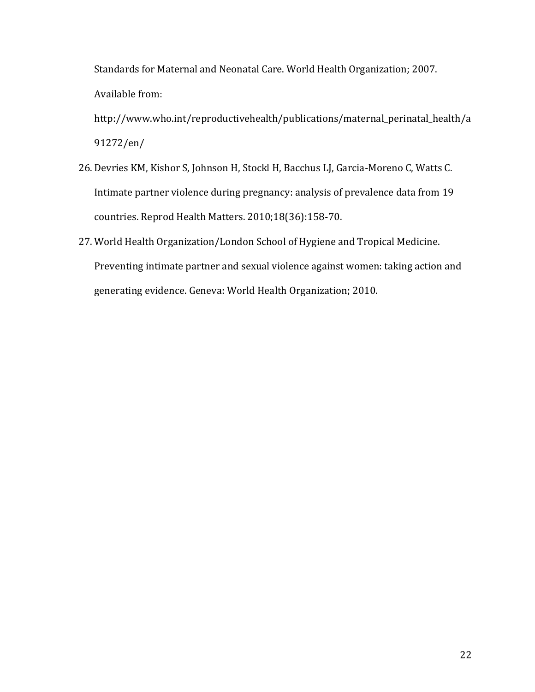Standards for Maternal and Neonatal Care. World Health Organization; 2007. Available from:

http://www.who.int/reproductivehealth/publications/maternal\_perinatal\_health/a 91272/en/

- 26. Devries KM, Kishor S, Johnson H, Stockl H, Bacchus LJ, Garcia-Moreno C, Watts C. Intimate partner violence during pregnancy: analysis of prevalence data from 19 countries. Reprod Health Matters. 2010;18(36):158-70.
- 27. World Health Organization/London School of Hygiene and Tropical Medicine. Preventing intimate partner and sexual violence against women: taking action and generating evidence. Geneva: World Health Organization; 2010.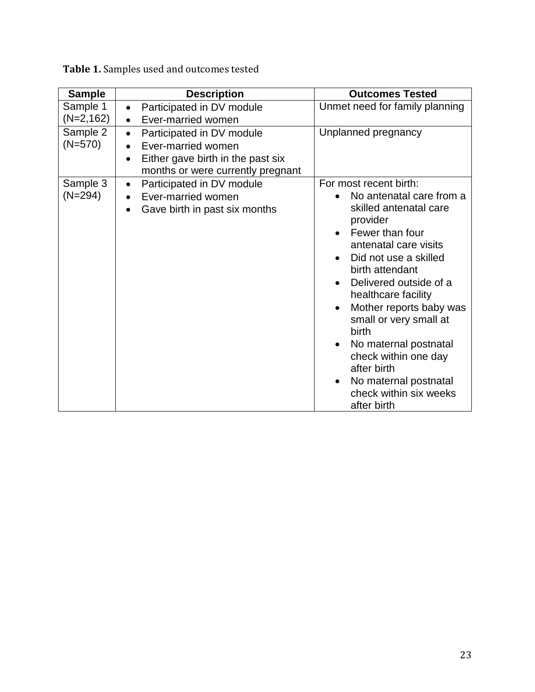| <b>Sample</b>           | <b>Description</b>                                                                                                                                               | <b>Outcomes Tested</b>                                                                                                                                                                                                                                                                                                                                                                                                                                                   |  |  |
|-------------------------|------------------------------------------------------------------------------------------------------------------------------------------------------------------|--------------------------------------------------------------------------------------------------------------------------------------------------------------------------------------------------------------------------------------------------------------------------------------------------------------------------------------------------------------------------------------------------------------------------------------------------------------------------|--|--|
| Sample 1<br>$(N=2,162)$ | Participated in DV module<br>$\bullet$<br>Ever-married women<br>$\bullet$                                                                                        | Unmet need for family planning                                                                                                                                                                                                                                                                                                                                                                                                                                           |  |  |
| Sample 2<br>$(N=570)$   | Participated in DV module<br>$\bullet$<br>Ever-married women<br>$\bullet$<br>Either gave birth in the past six<br>$\bullet$<br>months or were currently pregnant | Unplanned pregnancy                                                                                                                                                                                                                                                                                                                                                                                                                                                      |  |  |
| Sample 3<br>$(N=294)$   | Participated in DV module<br>$\bullet$<br>Ever-married women<br>Gave birth in past six months<br>$\bullet$                                                       | For most recent birth:<br>No antenatal care from a<br>skilled antenatal care<br>provider<br>Fewer than four<br>antenatal care visits<br>Did not use a skilled<br>birth attendant<br>Delivered outside of a<br>healthcare facility<br>Mother reports baby was<br>$\bullet$<br>small or very small at<br>birth<br>No maternal postnatal<br>$\bullet$<br>check within one day<br>after birth<br>No maternal postnatal<br>$\bullet$<br>check within six weeks<br>after birth |  |  |

**Table 1.** Samples used and outcomes tested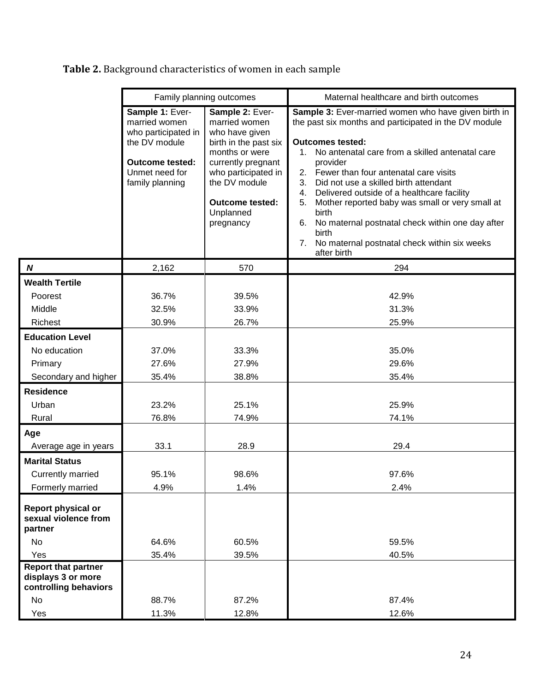|                                                                                 | Family planning outcomes                                                                                                                |                                                                                                                                                                                                                 | Maternal healthcare and birth outcomes                                                                                                                                                                                                                                                                                                                                                                                                                                                                                                                                          |  |  |  |
|---------------------------------------------------------------------------------|-----------------------------------------------------------------------------------------------------------------------------------------|-----------------------------------------------------------------------------------------------------------------------------------------------------------------------------------------------------------------|---------------------------------------------------------------------------------------------------------------------------------------------------------------------------------------------------------------------------------------------------------------------------------------------------------------------------------------------------------------------------------------------------------------------------------------------------------------------------------------------------------------------------------------------------------------------------------|--|--|--|
|                                                                                 | Sample 1: Ever-<br>married women<br>who participated in<br>the DV module<br><b>Outcome tested:</b><br>Unmet need for<br>family planning | Sample 2: Ever-<br>married women<br>who have given<br>birth in the past six<br>months or were<br>currently pregnant<br>who participated in<br>the DV module<br><b>Outcome tested:</b><br>Unplanned<br>pregnancy | Sample 3: Ever-married women who have given birth in<br>the past six months and participated in the DV module<br><b>Outcomes tested:</b><br>No antenatal care from a skilled antenatal care<br>$1_{\cdot}$<br>provider<br>2. Fewer than four antenatal care visits<br>3.<br>Did not use a skilled birth attendant<br>Delivered outside of a healthcare facility<br>4.<br>Mother reported baby was small or very small at<br>5.<br>birth<br>6.<br>No maternal postnatal check within one day after<br>birth<br>7.<br>No maternal postnatal check within six weeks<br>after birth |  |  |  |
| $\boldsymbol{N}$                                                                | 2,162                                                                                                                                   | 570                                                                                                                                                                                                             | 294                                                                                                                                                                                                                                                                                                                                                                                                                                                                                                                                                                             |  |  |  |
| <b>Wealth Tertile</b><br>Poorest<br>Middle<br>Richest                           | 36.7%<br>32.5%                                                                                                                          | 39.5%<br>33.9%<br>26.7%                                                                                                                                                                                         | 42.9%<br>31.3%                                                                                                                                                                                                                                                                                                                                                                                                                                                                                                                                                                  |  |  |  |
|                                                                                 | 30.9%                                                                                                                                   |                                                                                                                                                                                                                 | 25.9%                                                                                                                                                                                                                                                                                                                                                                                                                                                                                                                                                                           |  |  |  |
| <b>Education Level</b><br>No education<br>Primary<br>Secondary and higher       | 37.0%<br>27.6%<br>35.4%                                                                                                                 | 33.3%<br>27.9%<br>38.8%                                                                                                                                                                                         | 35.0%<br>29.6%<br>35.4%                                                                                                                                                                                                                                                                                                                                                                                                                                                                                                                                                         |  |  |  |
| <b>Residence</b><br>Urban<br>Rural                                              | 23.2%<br>76.8%                                                                                                                          | 25.1%<br>74.9%                                                                                                                                                                                                  | 25.9%<br>74.1%                                                                                                                                                                                                                                                                                                                                                                                                                                                                                                                                                                  |  |  |  |
| Age<br>Average age in years                                                     | 33.1                                                                                                                                    | 28.9                                                                                                                                                                                                            | 29.4                                                                                                                                                                                                                                                                                                                                                                                                                                                                                                                                                                            |  |  |  |
| <b>Marital Status</b><br><b>Currently married</b><br>Formerly married           | 95.1%<br>4.9%                                                                                                                           | 98.6%<br>1.4%                                                                                                                                                                                                   | 97.6%<br>2.4%                                                                                                                                                                                                                                                                                                                                                                                                                                                                                                                                                                   |  |  |  |
| Report physical or<br>sexual violence from<br>partner<br>No<br>Yes              | 64.6%<br>35.4%                                                                                                                          | 60.5%<br>39.5%                                                                                                                                                                                                  | 59.5%<br>40.5%                                                                                                                                                                                                                                                                                                                                                                                                                                                                                                                                                                  |  |  |  |
| <b>Report that partner</b><br>displays 3 or more<br>controlling behaviors<br>No | 88.7%                                                                                                                                   | 87.2%                                                                                                                                                                                                           | 87.4%                                                                                                                                                                                                                                                                                                                                                                                                                                                                                                                                                                           |  |  |  |
| Yes                                                                             | 11.3%                                                                                                                                   | 12.8%                                                                                                                                                                                                           | 12.6%                                                                                                                                                                                                                                                                                                                                                                                                                                                                                                                                                                           |  |  |  |

# **Table 2.** Background characteristics of women in each sample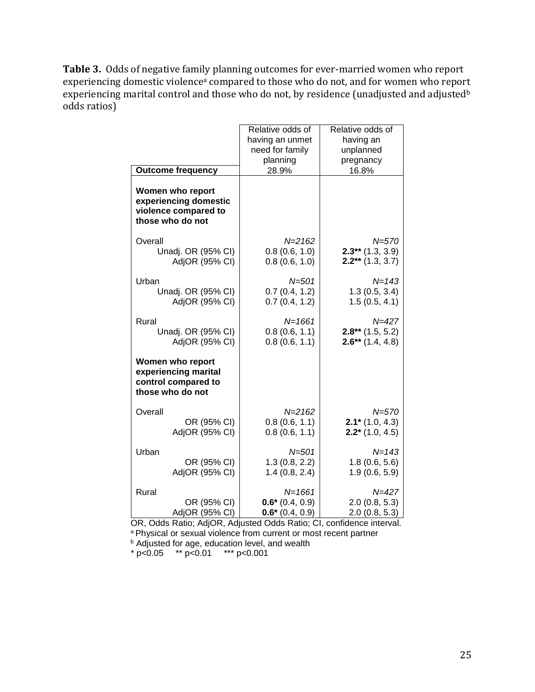**Table 3.** Odds of negative family planning outcomes for ever-married women who report experiencing domestic violence<sup>a</sup> compared to those who do not, and for women who report experiencing marital control and those who do not, by residence (unadjusted and adjusted<sup>b</sup> odds ratios)

|                                                                                     |                                      | Relative odds of               | Relative odds of                         |
|-------------------------------------------------------------------------------------|--------------------------------------|--------------------------------|------------------------------------------|
|                                                                                     |                                      | having an unmet                | having an                                |
|                                                                                     |                                      | need for family                | unplanned                                |
|                                                                                     |                                      | planning                       | pregnancy                                |
| <b>Outcome frequency</b>                                                            |                                      | 28.9%                          | 16.8%                                    |
| Women who report<br>violence compared to<br>those who do not                        | experiencing domestic                |                                |                                          |
| Overall                                                                             |                                      | $N = 2162$                     | $N = 570$                                |
|                                                                                     | Unadj. OR (95% CI)                   | 0.8(0.6, 1.0)                  | $2.3**$ (1.3, 3.9)                       |
|                                                                                     | AdjOR (95% CI)                       | 0.8(0.6, 1.0)                  | $2.2**$ (1.3, 3.7)                       |
| Urban                                                                               |                                      | $N = 501$                      | $N = 143$                                |
|                                                                                     | Unadj. OR (95% CI)                   | 0.7(0.4, 1.2)                  | 1.3(0.5, 3.4)                            |
|                                                                                     | AdjOR (95% CI)                       | 0.7(0.4, 1.2)                  | 1.5(0.5, 4.1)                            |
|                                                                                     |                                      |                                |                                          |
| Rural                                                                               |                                      | $N = 1661$                     | $N = 427$                                |
|                                                                                     | Unadj. OR (95% CI)<br>AdjOR (95% CI) | 0.8(0.6, 1.1)<br>0.8(0.6, 1.1) | $2.8**$ (1.5, 5.2)<br>$2.6**$ (1.4, 4.8) |
|                                                                                     |                                      |                                |                                          |
| Women who report<br>experiencing marital<br>control compared to<br>those who do not |                                      |                                |                                          |
| Overall                                                                             |                                      | $N = 2162$                     | $N = 570$                                |
|                                                                                     | OR (95% CI)                          | 0.8(0.6, 1.1)                  | $2.1*$ (1.0, 4.3)                        |
|                                                                                     | AdjOR (95% CI)                       | 0.8(0.6, 1.1)                  | $2.2*(1.0, 4.5)$                         |
|                                                                                     |                                      |                                |                                          |
| Urban                                                                               |                                      | $N = 501$                      | $N = 143$                                |
|                                                                                     | OR (95% CI)<br>AdjOR (95% CI)        | 1.3(0.8, 2.2)<br>1.4(0.8, 2.4) | 1.8(0.6, 5.6)<br>1.9(0.6, 5.9)           |
|                                                                                     |                                      |                                |                                          |
| Rural                                                                               |                                      | $N = 1661$                     | $N = 427$                                |
|                                                                                     | OR (95% CI)                          | $0.6*(0.4, 0.9)$               | 2.0(0.8, 5.3)                            |
|                                                                                     | AdjOR (95% CI)                       | $0.6*(0.4, 0.9)$               | 2.0(0.8, 5.3)                            |

 OR, Odds Ratio; AdjOR, Adjusted Odds Ratio; CI, confidence interval. a Physical or sexual violence from current or most recent partner **b** Adjusted for age, education level, and wealth

 $* p < 0.05$  \*\*  $p < 0.01$  \*\*\*  $p < 0.001$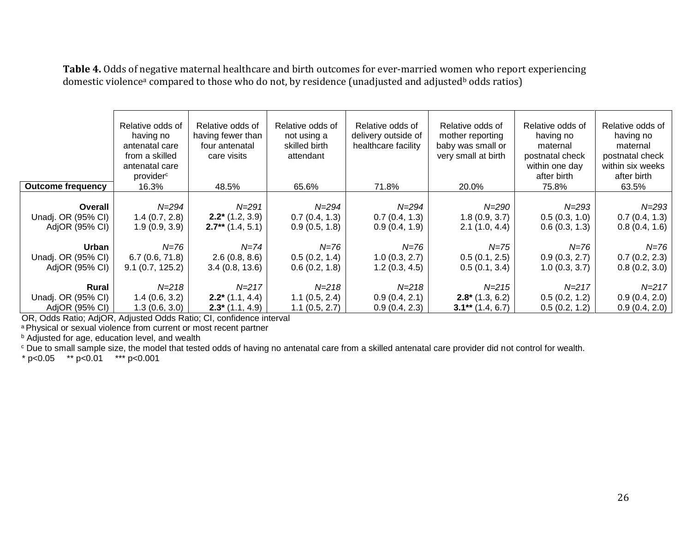**Table 4.** Odds of negative maternal healthcare and birth outcomes for ever-married women who report experiencing domestic violence<sup>a</sup> compared to those who do not, by residence (unadjusted and adjusted<sup>b</sup> odds ratios)

|                                                 | Relative odds of<br>having no<br>antenatal care<br>from a skilled<br>antenatal care<br>provider <sup>c</sup> | Relative odds of<br>having fewer than<br>four antenatal<br>care visits | Relative odds of<br>not using a<br>skilled birth<br>attendant | Relative odds of<br>delivery outside of<br>healthcare facility | Relative odds of<br>mother reporting<br>baby was small or<br>very small at birth | Relative odds of<br>having no<br>maternal<br>postnatal check<br>within one day<br>after birth | Relative odds of<br>having no<br>maternal<br>postnatal check<br>within six weeks<br>after birth |
|-------------------------------------------------|--------------------------------------------------------------------------------------------------------------|------------------------------------------------------------------------|---------------------------------------------------------------|----------------------------------------------------------------|----------------------------------------------------------------------------------|-----------------------------------------------------------------------------------------------|-------------------------------------------------------------------------------------------------|
| <b>Outcome frequency</b>                        | 16.3%                                                                                                        | 48.5%                                                                  | 65.6%                                                         | 71.8%                                                          | 20.0%                                                                            | 75.8%                                                                                         | 63.5%                                                                                           |
| Overall<br>Unadj. OR (95% CI)<br>AdjOR (95% CI) | N=294<br>1.4(0.7, 2.8)<br>1.9(0.9, 3.9)                                                                      | $N = 291$<br>$2.2^*$ (1.2, 3.9)<br>$2.7**$ (1.4, 5.1)                  | N=294<br>0.7(0.4, 1.3)<br>0.9(0.5, 1.8)                       | $N = 294$<br>0.7(0.4, 1.3)<br>0.9(0.4, 1.9)                    | N=290<br>1.8(0.9, 3.7)<br>2.1(1.0, 4.4)                                          | $N = 293$<br>0.5(0.3, 1.0)<br>0.6(0.3, 1.3)                                                   | $N = 293$<br>0.7(0.4, 1.3)<br>0.8(0.4, 1.6)                                                     |
| Urban                                           | N=76                                                                                                         | $N = 74$                                                               | N=76                                                          | N=76                                                           | N=75                                                                             | N=76                                                                                          | N=76                                                                                            |
| Unadj. OR (95% CI)<br>AdjOR (95% CI)            | 6.7(0.6, 71.8)<br>9.1(0.7, 125.2)                                                                            | 2.6(0.8, 8.6)<br>3.4(0.8, 13.6)                                        | 0.5(0.2, 1.4)<br>0.6(0.2, 1.8)                                | 1.0(0.3, 2.7)<br>1.2(0.3, 4.5)                                 | 0.5(0.1, 2.5)<br>0.5(0.1, 3.4)                                                   | 0.9(0.3, 2.7)<br>1.0(0.3, 3.7)                                                                | 0.7(0.2, 2.3)<br>0.8(0.2, 3.0)                                                                  |
| Rural                                           | $N = 218$                                                                                                    | $N = 217$                                                              | $N = 218$                                                     | $N = 218$                                                      | $N = 215$                                                                        | $N = 217$                                                                                     | $N = 217$                                                                                       |
| Unadj. OR (95% CI)<br>AdjOR (95% CI)            | 1.4(0.6, 3.2)<br>1.3(0.6, 3.0)                                                                               | $2.2^*$ (1.1, 4.4)<br>$2.3^*$ (1.1, 4.9)                               | 1.1(0.5, 2.4)<br>1.1(0.5, 2.7)                                | 0.9(0.4, 2.1)<br>0.9(0.4, 2.3)                                 | $2.8^*$ (1.3, 6.2)<br>$3.1**$ (1.4, 6.7)                                         | 0.5(0.2, 1.2)<br>0.5(0.2, 1.2)                                                                | 0.9(0.4, 2.0)<br>0.9(0.4, 2.0)                                                                  |

OR, Odds Ratio; AdjOR, Adjusted Odds Ratio; CI, confidence interval

a Physical or sexual violence from current or most recent partner

**b** Adjusted for age, education level, and wealth

<sup>c</sup> Due to small sample size, the model that tested odds of having no antenatal care from a skilled antenatal care provider did not control for wealth.

 $* p < 0.05$  \*\* p<0.01 \*\*\* p<0.001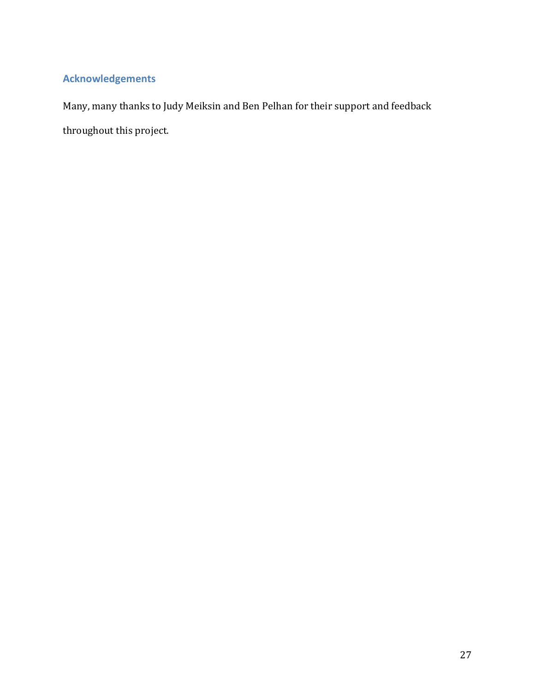## **Acknowledgements**

Many, many thanks to Judy Meiksin and Ben Pelhan for their support and feedback throughout this project.